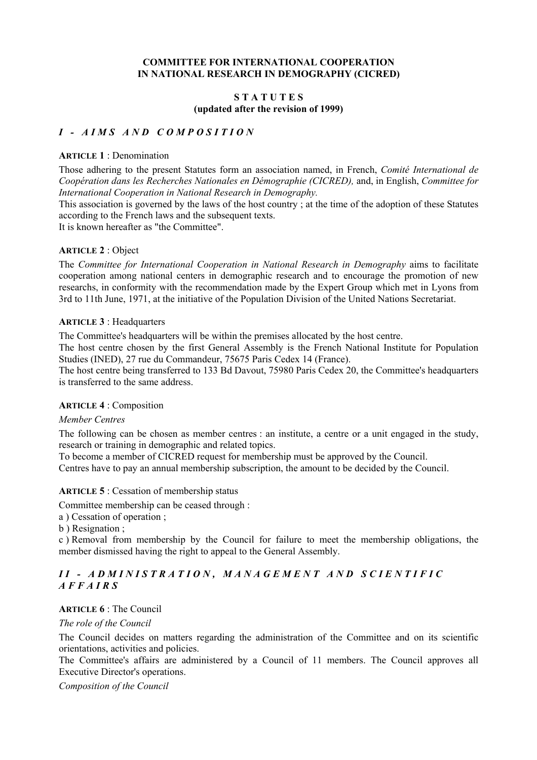### **COMMITTEE FOR INTERNATIONAL COOPERATION IN NATIONAL RESEARCH IN DEMOGRAPHY (CICRED)**

#### **S T A T U T E S (updated after the revision of 1999)**

## *I - AIMS AND COMPOSITION*

#### **ARTICLE 1** : Denomination

Those adhering to the present Statutes form an association named, in French, *Comité International de Coopération dans les Recherches Nationales en Démographie (CICRED),* and, in English, *Committee for International Cooperation in National Research in Demography.* 

This association is governed by the laws of the host country ; at the time of the adoption of these Statutes according to the French laws and the subsequent texts.

It is known hereafter as "the Committee".

### **ARTICLE 2** : Object

The *Committee for International Cooperation in National Research in Demography* aims to facilitate cooperation among national centers in demographic research and to encourage the promotion of new researchs, in conformity with the recommendation made by the Expert Group which met in Lyons from 3rd to 11th June, 1971, at the initiative of the Population Division of the United Nations Secretariat.

#### **ARTICLE 3** : Headquarters

The Committee's headquarters will be within the premises allocated by the host centre.

The host centre chosen by the first General Assembly is the French National Institute for Population Studies (INED), 27 rue du Commandeur, 75675 Paris Cedex 14 (France).

The host centre being transferred to 133 Bd Davout, 75980 Paris Cedex 20, the Committee's headquarters is transferred to the same address.

#### **ARTICLE 4** : Composition

#### *Member Centres*

The following can be chosen as member centres : an institute, a centre or a unit engaged in the study, research or training in demographic and related topics.

To become a member of CICRED request for membership must be approved by the Council.

Centres have to pay an annual membership subscription, the amount to be decided by the Council.

#### **ARTICLE 5** : Cessation of membership status

Committee membership can be ceased through :

a ) Cessation of operation ;

b ) Resignation ;

c ) Removal from membership by the Council for failure to meet the membership obligations, the member dismissed having the right to appeal to the General Assembly.

## *II - ADMINISTRATION, MANAGEMENT AND SCIENTIFIC AFFAIRS*

## **ARTICLE 6** : The Council

#### *The role of the Council*

The Council decides on matters regarding the administration of the Committee and on its scientific orientations, activities and policies.

The Committee's affairs are administered by a Council of 11 members. The Council approves all Executive Director's operations.

*Composition of the Council*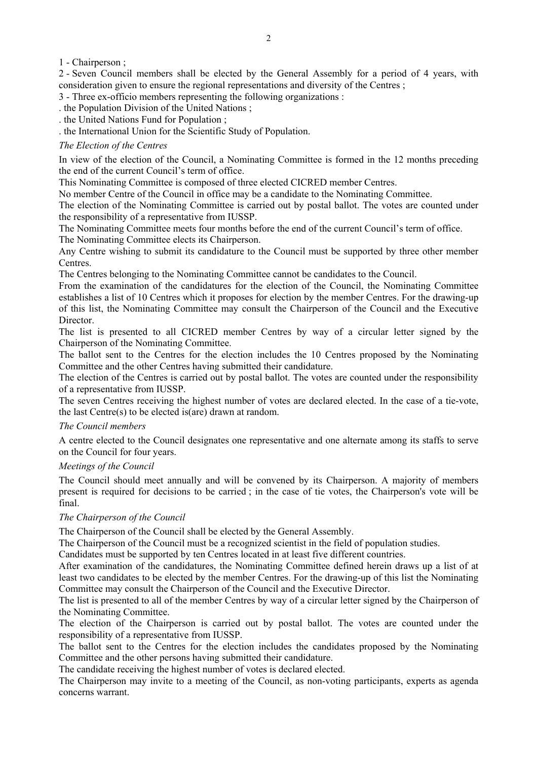1 - Chairperson ;

2 - Seven Council members shall be elected by the General Assembly for a period of 4 years, with consideration given to ensure the regional representations and diversity of the Centres ;

3 - Three ex-officio members representing the following organizations :

. the Population Division of the United Nations ;

. the United Nations Fund for Population ;

. the International Union for the Scientific Study of Population.

### *The Election of the Centres*

In view of the election of the Council, a Nominating Committee is formed in the 12 months preceding the end of the current Council's term of office.

This Nominating Committee is composed of three elected CICRED member Centres.

No member Centre of the Council in office may be a candidate to the Nominating Committee.

The election of the Nominating Committee is carried out by postal ballot. The votes are counted under the responsibility of a representative from IUSSP.

The Nominating Committee meets four months before the end of the current Council's term of office. The Nominating Committee elects its Chairperson.

Any Centre wishing to submit its candidature to the Council must be supported by three other member Centres.

The Centres belonging to the Nominating Committee cannot be candidates to the Council.

From the examination of the candidatures for the election of the Council, the Nominating Committee establishes a list of 10 Centres which it proposes for election by the member Centres. For the drawing-up of this list, the Nominating Committee may consult the Chairperson of the Council and the Executive Director.

The list is presented to all CICRED member Centres by way of a circular letter signed by the Chairperson of the Nominating Committee.

The ballot sent to the Centres for the election includes the 10 Centres proposed by the Nominating Committee and the other Centres having submitted their candidature.

The election of the Centres is carried out by postal ballot. The votes are counted under the responsibility of a representative from IUSSP.

The seven Centres receiving the highest number of votes are declared elected. In the case of a tie-vote, the last Centre(s) to be elected is(are) drawn at random.

#### *The Council members*

A centre elected to the Council designates one representative and one alternate among its staffs to serve on the Council for four years.

#### *Meetings of the Council*

The Council should meet annually and will be convened by its Chairperson. A majority of members present is required for decisions to be carried ; in the case of tie votes, the Chairperson's vote will be final.

#### *The Chairperson of the Council*

The Chairperson of the Council shall be elected by the General Assembly.

The Chairperson of the Council must be a recognized scientist in the field of population studies.

Candidates must be supported by ten Centres located in at least five different countries.

After examination of the candidatures, the Nominating Committee defined herein draws up a list of at least two candidates to be elected by the member Centres. For the drawing-up of this list the Nominating Committee may consult the Chairperson of the Council and the Executive Director.

The list is presented to all of the member Centres by way of a circular letter signed by the Chairperson of the Nominating Committee.

The election of the Chairperson is carried out by postal ballot. The votes are counted under the responsibility of a representative from IUSSP.

The ballot sent to the Centres for the election includes the candidates proposed by the Nominating Committee and the other persons having submitted their candidature.

The candidate receiving the highest number of votes is declared elected.

The Chairperson may invite to a meeting of the Council, as non-voting participants, experts as agenda concerns warrant.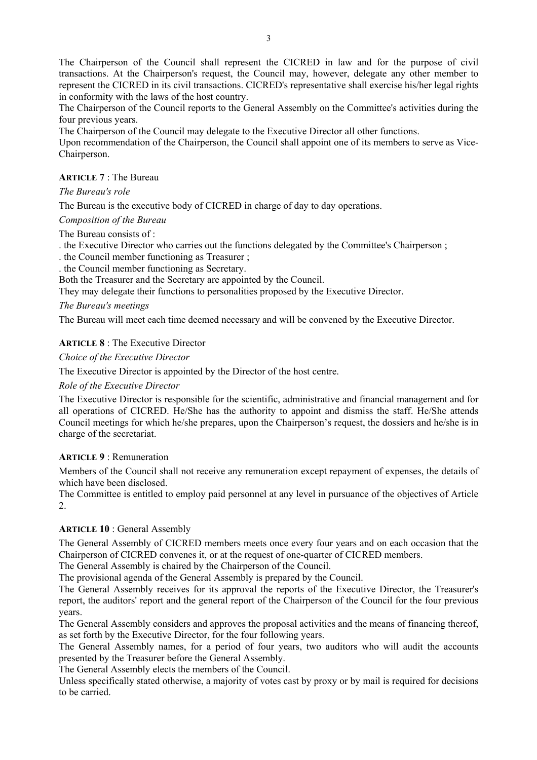The Chairperson of the Council shall represent the CICRED in law and for the purpose of civil transactions. At the Chairperson's request, the Council may, however, delegate any other member to represent the CICRED in its civil transactions. CICRED's representative shall exercise his/her legal rights in conformity with the laws of the host country.

The Chairperson of the Council reports to the General Assembly on the Committee's activities during the four previous years.

The Chairperson of the Council may delegate to the Executive Director all other functions.

Upon recommendation of the Chairperson, the Council shall appoint one of its members to serve as Vice-Chairperson.

# **ARTICLE 7** : The Bureau

# *The Bureau's role*

The Bureau is the executive body of CICRED in charge of day to day operations.

# *Composition of the Bureau*

The Bureau consists of :

. the Executive Director who carries out the functions delegated by the Committee's Chairperson ;

. the Council member functioning as Treasurer ;

. the Council member functioning as Secretary.

Both the Treasurer and the Secretary are appointed by the Council.

They may delegate their functions to personalities proposed by the Executive Director.

# *The Bureau's meetings*

The Bureau will meet each time deemed necessary and will be convened by the Executive Director.

# **ARTICLE 8** : The Executive Director

*Choice of the Executive Director* 

The Executive Director is appointed by the Director of the host centre.

*Role of the Executive Director* 

The Executive Director is responsible for the scientific, administrative and financial management and for all operations of CICRED. He/She has the authority to appoint and dismiss the staff. He/She attends Council meetings for which he/she prepares, upon the Chairperson's request, the dossiers and he/she is in charge of the secretariat.

## **ARTICLE 9** : Remuneration

Members of the Council shall not receive any remuneration except repayment of expenses, the details of which have been disclosed.

The Committee is entitled to employ paid personnel at any level in pursuance of the objectives of Article 2.

# **ARTICLE 10** : General Assembly

The General Assembly of CICRED members meets once every four years and on each occasion that the Chairperson of CICRED convenes it, or at the request of one-quarter of CICRED members.

The General Assembly is chaired by the Chairperson of the Council.

The provisional agenda of the General Assembly is prepared by the Council.

The General Assembly receives for its approval the reports of the Executive Director, the Treasurer's report, the auditors' report and the general report of the Chairperson of the Council for the four previous years.

The General Assembly considers and approves the proposal activities and the means of financing thereof, as set forth by the Executive Director, for the four following years.

The General Assembly names, for a period of four years, two auditors who will audit the accounts presented by the Treasurer before the General Assembly.

The General Assembly elects the members of the Council.

Unless specifically stated otherwise, a majority of votes cast by proxy or by mail is required for decisions to be carried.